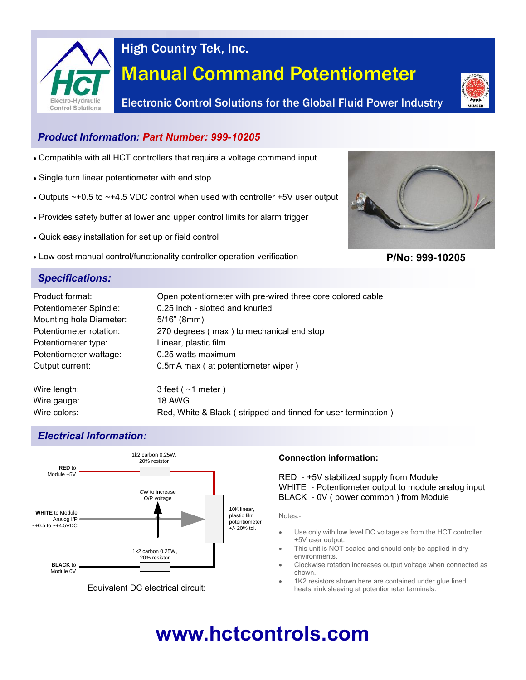

# Manual Command Potentiometer High Country Tek, Inc.



Electronic Control Solutions for the Global Fluid Power Industry

## *Product Information: Part Number: 999-10205*

- Compatible with all HCT controllers that require a voltage command input
- Single turn linear potentiometer with end stop
- Outputs ~+0.5 to ~+4.5 VDC control when used with controller +5V user output
- Provides safety buffer at lower and upper control limits for alarm trigger
- Quick easy installation for set up or field control
- Low cost manual control/functionality controller operation verification



**P/No: 999-10205**

### *Specifications:*

| Product format:         | Open potentiometer with pre-wired three core colored cable |
|-------------------------|------------------------------------------------------------|
| Potentiometer Spindle:  | 0.25 inch - slotted and knurled                            |
| Mounting hole Diameter: | $5/16$ " (8mm)                                             |
| Potentiometer rotation: | 270 degrees (max) to mechanical end stop                   |
| Potentiometer type:     | Linear, plastic film                                       |
| Potentiometer wattage:  | 0.25 watts maximum                                         |
| Output current:         | 0.5mA max (at potentiometer wiper)                         |
|                         |                                                            |

Wire length: 3 feet ( ~1 meter ) Wire gauge: 18 AWG Wire colors: Red, White & Black ( stripped and tinned for user termination )

### *Electrical Information:*



Equivalent DC electrical circuit:

#### **Connection information:**

RED - +5V stabilized supply from Module WHITE - Potentiometer output to module analog input BLACK - 0V ( power common ) from Module

Notes:-

- Use only with low level DC voltage as from the HCT controller +5V user output.
- This unit is NOT sealed and should only be applied in dry environments.
- Clockwise rotation increases output voltage when connected as shown.
- 1K2 resistors shown here are contained under glue lined heatshrink sleeving at potentiometer terminals.

# **www.hctcontrols.com**